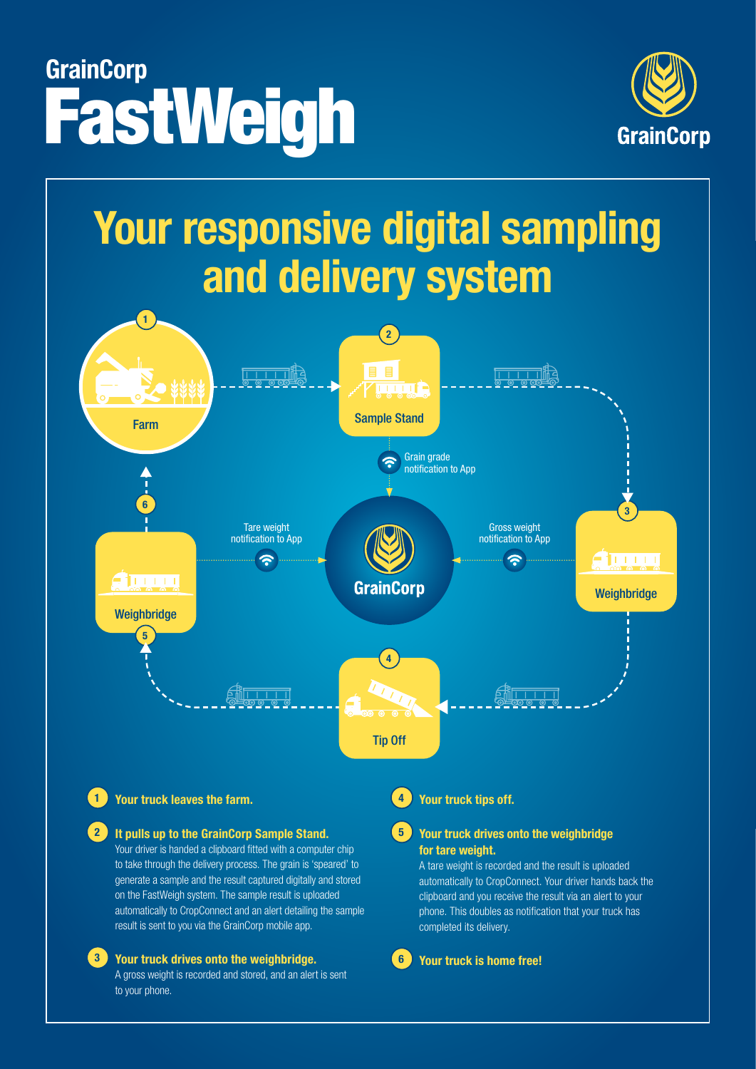# FastWeigh **GrainCorp**



## **Your responsive digital sampling and delivery system**